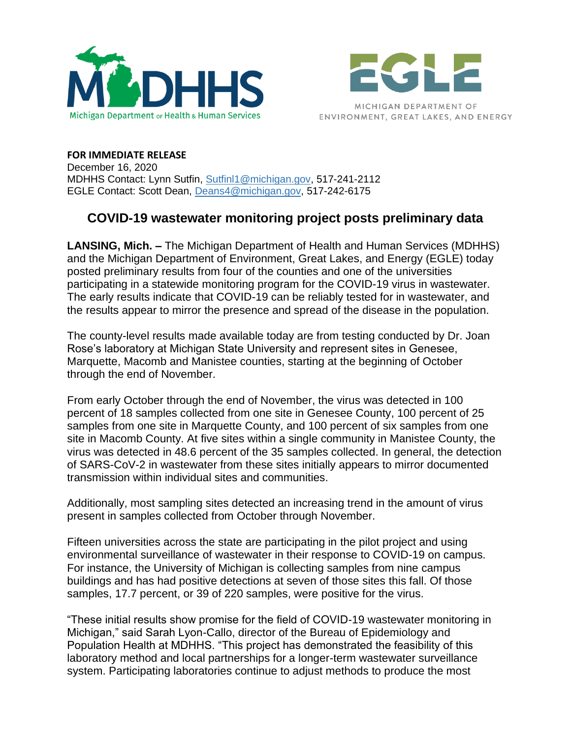



**FOR IMMEDIATE RELEASE** December 16, 2020 MDHHS Contact: Lynn Sutfin, [Sutfinl1@michigan.gov,](mailto:Sutfinl1@michigan.gov) 517-241-2112 EGLE Contact: Scott Dean, [Deans4@michigan.gov,](mailto:Deans4@michigan.gov) 517-242-6175

## **COVID-19 wastewater monitoring project posts preliminary data**

**LANSING, Mich. –** The Michigan Department of Health and Human Services (MDHHS) and the Michigan Department of Environment, Great Lakes, and Energy (EGLE) today posted preliminary results from four of the counties and one of the universities participating in a statewide monitoring program for the COVID-19 virus in wastewater. The early results indicate that COVID-19 can be reliably tested for in wastewater, and the results appear to mirror the presence and spread of the disease in the population.

The county-level results made available today are from testing conducted by Dr. Joan Rose's laboratory at Michigan State University and represent sites in Genesee, Marquette, Macomb and Manistee counties, starting at the beginning of October through the end of November.

From early October through the end of November, the virus was detected in 100 percent of 18 samples collected from one site in Genesee County, 100 percent of 25 samples from one site in Marquette County, and 100 percent of six samples from one site in Macomb County. At five sites within a single community in Manistee County, the virus was detected in 48.6 percent of the 35 samples collected. In general, the detection of SARS-CoV-2 in wastewater from these sites initially appears to mirror documented transmission within individual sites and communities.

Additionally, most sampling sites detected an increasing trend in the amount of virus present in samples collected from October through November.

Fifteen universities across the state are participating in the pilot project and using environmental surveillance of wastewater in their response to COVID-19 on campus. For instance, the University of Michigan is collecting samples from nine campus buildings and has had positive detections at seven of those sites this fall. Of those samples, 17.7 percent, or 39 of 220 samples, were positive for the virus.

"These initial results show promise for the field of COVID-19 wastewater monitoring in Michigan," said Sarah Lyon-Callo, director of the Bureau of Epidemiology and Population Health at MDHHS. "This project has demonstrated the feasibility of this laboratory method and local partnerships for a longer-term wastewater surveillance system. Participating laboratories continue to adjust methods to produce the most